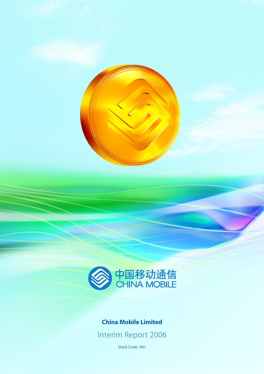



# **China Mobile Limited**

Interim Report 2006

Stock Code : 941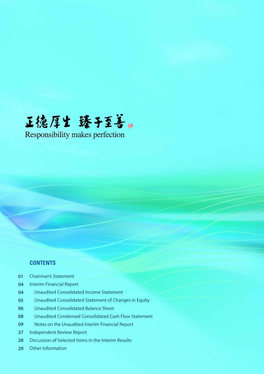

## **CONTENTS**

- Chairman's Statement **01**
- Interim Financial Report **04**
- Unaudited Consolidated Income Statement **04**
- Unaudited Consolidated Statement of Changes in Equity **05**
- Unaudited Consolidated Balance Sheet **06**
- Unaudited Condensed Consolidated Cash Flow Statement **08**
- Notes on the Unaudited Interim Financial Report **09**
- Independent Review Report **27**
- Discussion of Selected Items in the Interim Results **28**
- Other Information **29**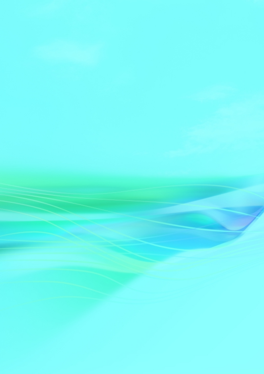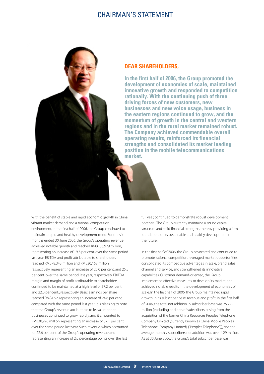## CHAIRMAN'S STATEMENT



## **DEAR SHAREHOLDERS,**

**In the first half of 2006, the Group promoted the development of economies of scale, maintained innovative growth and responded to competition rationally. With the continuing push of three driving forces of new customers, new businesses and new voice usage, business in the eastern regions continued to grow, and the momentum of growth in the central and western regions and in the rural market remained robust. The Company achieved commendable overall operating results, reinforced its financial strengths and consolidated its market leading position in the mobile telecommunications market.**

With the benefit of stable and rapid economic growth in China,<br>vibrant market demand and a rational competition<br>environment, in the first half of 2006, the Group continued to<br>environment, in the first half of 2006, the Gro vibrant market demand and a rational competition environment, in the first half of 2006, the Group continued to maintain a rapid and healthy development trend. For the six months ended 30 June 2006, the Group's operating revenue achieved notable growth and reached RMB136,979 million, representing an increase of 19.6 per cent. over the same period last year. EBITDA and profit attributable to shareholders reached RMB78,343 million and RMB30,168 million, respectively, representing an increase of 25.0 per cent. and 25.5 per cent. over the same period last year, respectively. EBITDA margin and margin of profit attributable to shareholders continued to be maintained at a high level of 57.2 per cent. and 22.0 per cent., respectively. Basic earnings per share reached RMB1.52, representing an increase of 24.6 per cent. compared with the same period last year. It is pleasing to note that the Group's revenue attributable to its value-added businesses continued to grow rapidly, and it amounted to RMB30,926 million, representing an increase of 37.1 per cent. over the same period last year. Such revenue, which accounted for 22.6 per cent. of the Group's operating revenue and representing an increase of 2.0 percentage points over the last

full year, continued to demonstrate robust development potential. The Group currently maintains a sound capital structure and solid financial strengths, thereby providing a firm foundation for its sustainable and healthy development in the future.

In the first half of 2006, the Group advocated and continued to promote rational competition, leveraged market opportunities, consolidated its competitive advantages in scale, brand, sales channel and service, and strengthened its innovative capabilities. Customer demand-oriented, the Group implemented effective measures to develop its market, and achieved notable results in the development of economies of scale. In the first half of 2006, the Group maintained rapid growth in its subscriber base, revenue and profit. In the first half of 2006, the total net addition in subscriber base was 25.775 million (excluding addition of subscribers arising from the acquisition of the former China Resources Peoples Telephone Company Limited (currently known as China Mobile Peoples Telephone Company Limited) ("Peoples Telephone")), and the average monthly subscribers net addition was over 4.29 million. As at 30 June 2006, the Group's total subscriber base was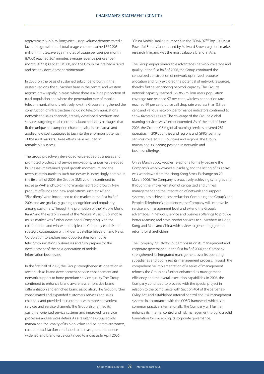approximately 274 million; voice usage volume demonstrated a favorable growth trend; total usage volume reached 569,203 million minutes, average minutes of usage per user per month (MOU) reached 367 minutes, average revenue per user per month (ARPU) kept at RMB88, and the Group maintained a rapid and healthy development momentum.

In 2006, on the basis of sustained subscriber growth in the eastern regions, the subscriber base in the central and western regions grew rapidly. In areas where there is a large proportion of rural population and where the penetration rate of mobile telecommunications is relatively low, the Group strengthened the construction of infrastructure including telecommunications network and sales channels, actively developed products and services targeting rural customers, launched sales packages that fit the unique consumption characteristics in rural areas and applied low cost strategies to tap into the enormous potential of the rural markets. These efforts have resulted in remarkable success.

The Group proactively developed value-added businesses and promoted product and service innovations; various value-added businesses maintained good growth momentum and the revenue attributable to such businesses is increasingly notable. In the first half of 2006, the Group's SMS volume continued to increase, WAP and "Color Ring" maintained rapid growth. New product offerings and new applications such as "IM" and "BlackBerry" were introduced to the market in the first half of 2006 and are gradually gaining recognition and popularity among customers. Through the promotion of the "Mobile Music Rank" and the establishment of the "Mobile Music Club", mobile music market was further developed. Complying with the collaboration and win-win principle, the Company established strategic cooperation with Phoenix Satellite Television and News Corporation to explore new opportunities for mobile telecommunications businesses and fully prepare for the development of the next generation of mobile information businesses.

In the first half of 2006, the Group strengthened its operation in areas such as brand development, service enhancement and network support to hone premium service quality. The Group continued to enhance brand awareness, emphasize brand differentiation and enriched brand association. The Group further consolidated and expanded customers services and sales channels, and provided its customers with more convenient services and service channels. The Group also refined its customer-oriented service systems and improved its service processes and services details. As a result, the Group solidly maintained the loyalty of its high-value and corporate customers, customer satisfaction continued to increase, brand influence widened and brand value continued to increase. In April 2006,

"China Mobile" ranked number 4 in the "BRANDZTM Top 100 Most Powerful Brands" announced by Millward Brown, a global market research firm, and was the most valuable brand in Asia.

The Group enjoys remarkable advantages network coverage and quality. In the first half of 2006, the Group continued the centralized construction of network, optimized resource allocation and fully explored the potential of network resources, thereby further enhancing network capacity. The Group's network capacity reached 329.863 million users, population coverage rate reached 97 per cent., wireless connection rate reached 99 per cent., voice call drop rate was less than 0.8 per cent. and various network performance indicators continued to show favorable results. The coverage of the Group's global roaming services was further extended. As of the end of June 2006, the Group's GSM global roaming services covered 281 operators in 209 countries and regions and GPRS roaming services covered 111 countries and regions. The Group maintained its leading position in networks and business offerings.

On 28 March 2006, Peoples Telephone formally became the Company's wholly-owned subsidiary, and the listing of its shares was withdrawn from the Hong Kong Stock Exchange on 29 March 2006. The Company is proactively achieving synergies and, through the implementation of centralized and unified management and the integration of network and support systems, has achieved cost reduction. Combining the Group's and Peoples Telephone's experiences, the Company will improve its service and management level and extend the Group's advantages in network, service and business offerings to provide better roaming and cross-border services to subscribers in Hong Kong and Mainland China, with a view to generating greater returns for shareholders.

The Company has always put emphasis on its management and corporate governance. In the first half of 2006, the Company strengthened its integrated management over its operating subsidiaries and optimized its management process. Through the comprehensive implementation of a series of management reforms, the Group has further enhanced its management efficiency and the overall execution capabilities. In 2006, the Company continued to proceed with the special project in relation to the compliance with Section 404 of the Sarbanes-Oxley Act, and established internal control and risk management systems in accordance with the COSO framework which is in common practice internationally. The Company will further enhance its internal control and risk management to build a solid foundation for improving its corporate governance.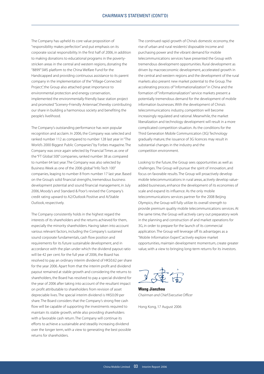The Company has upheld its core value proposition of "responsibility makes perfection" and put emphasis on its corporate social responsibility. In the first half of 2006, in addition to making donations to educational programs in the povertystricken areas in the central and western regions, donating the "8899" SMS platform to the China Welfare Fund for the Handicapped and providing continuous assistance to its parent company in the implementation of the "Village-Connected Project", the Group also attached great importance to environmental protection and energy conservation, implemented the environmentally-friendly base station project and promoted "Scenery-Friendly Antennae", thereby contributing our share in building a harmonious society and benefiting the people's livelihood.

The Company's outstanding performance has won popular recognition and acclaim. In 2006, the Company was selected and ranked number 112 as compared to number 128 last year in "The World's 2000 Biggest Public Companies" by Forbes magazine. The Company was once again selected by Financial Times as one of the "FT Global 500" companies, ranked number 38 as compared to number 64 last year. The Company was also selected by Business Week as one of the 2006 global "Info Tech 100" companies, leaping to number 8 from number 17 last year. Based on the Group's solid financial strengths, tremendous business development potential and sound financial management, in July 2006, Moody's and Standard & Poor's revised the Company's credit rating upward to A2/Outlook Positive and A/Stable Outlook, respectively.

The Company consistently holds in the highest regard the interests of its shareholders and the returns achieved for them, especially the minority shareholders. Having taken into account various relevant factors, including the Company's sustained sound corporate fundamentals, cash flow position and requirements for its future sustainable development, and in accordance with the plan under which the dividend payout ratio will be 42 per cent. for the full year of 2006, the Board has resolved to pay an ordinary interim dividend of HK\$0.62 per share for the year 2006. Apart from that the interim profit and dividend payout remained at stable growth and considering the returns to shareholders, the Board has resolved to pay a special dividend for the year of 2006 after taking into account of the resultant impact on profit attributable to shareholders from revision of asset depreciable lives. The special interim dividend is HK\$0.09 per share. The Board considers that the Company's strong free cash flow will be capable of supporting the investments required to maintain its stable growth, while also providing shareholders with a favorable cash return. The Company will continue its efforts to achieve a sustainable and steadily increasing dividend over the longer term, with a view to generating the best possible returns for shareholders.

The continued rapid growth of China's domestic economy, the rise of urban and rural residents' disposable income and purchasing power and the vibrant demand for mobile telecommunications services have presented the Group with tremendous development opportunities. Rural development as driven by macroeconomic development, accelerated growth in the central and western regions and the development of the rural markets also present new market potential to the Group. The accelerating process of "informationalization" in China and the formation of "informationalization" service markets present a potentially tremendous demand for the development of mobile information businesses. With the development of China's telecommunications industry, competition will become increasingly regulated and rational. Meanwhile, the market liberalization and technology development will result in a more complicated competition situation. As the conditions for the Third Generation Mobile Communication (3G) Technology gradually mature, the issuance of 3G licences may result in substantial changes in the industry and the competition environment.

Looking to the future, the Group sees opportunities as well as challenges. The Group will pursue the spirit of innovation, and focus on favorable results. The Group will proactively develop mobile telecommunications in rural areas, actively develop valueadded businesses, enhance the development of its economies of scale and expand its influence. As the only mobile telecommunications services partner for the 2008 Beijing Olympics, the Group will fully utilize its overall strength to provide premium quality mobile telecommunications services. At the same time, the Group will actively carry out preparatory work in the planning and construction of and market operations for 3G, in order to prepare for the launch of its commercial application. The Group will leverage off its advantages as a "Mobile Information Expert", actively explore market opportunities, maintain development momentum, create greater value, with a view to bringing long-term returns for its investors.

**Wang Jianzhou** *Chairman and Chief Executive Officer*

Hong Kong, 17 August 2006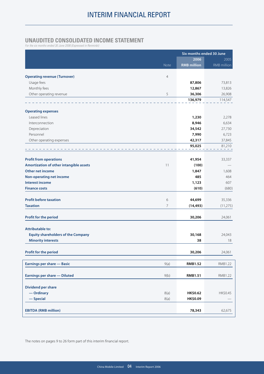## **UNAUDITED CONSOLIDATED INCOME STATEMENT**

For the six months ended 30 June 2006 (Expressed in Renminbi)

|                                                       | Six months ended 30 June |                |  |
|-------------------------------------------------------|--------------------------|----------------|--|
|                                                       | 2006                     | 2005           |  |
| Note                                                  | <b>RMB</b> million       | RMB million    |  |
| <b>Operating revenue (Turnover)</b><br>$\overline{4}$ |                          |                |  |
| Usage fees                                            | 87,806                   | 73,813         |  |
| Monthly fees                                          | 12,867                   | 13,826         |  |
| Other operating revenue<br>5                          | 36,306                   | 26,908         |  |
|                                                       | 136,979                  | 114,547        |  |
|                                                       |                          |                |  |
| <b>Operating expenses</b><br>Leased lines             | 1,230                    | 2,278          |  |
| Interconnection                                       | 8,946                    | 6,634          |  |
| Depreciation                                          | 34,542                   | 27,730         |  |
| Personnel                                             | 7,990                    | 6,723          |  |
| Other operating expenses                              | 42,317                   | 37,845         |  |
|                                                       | 95,025                   | 81,210         |  |
|                                                       |                          |                |  |
| <b>Profit from operations</b>                         | 41,954                   | 33,337         |  |
| Amortization of other intangible assets<br>11         | (100)                    |                |  |
| Other net income                                      | 1,847                    | 1,608          |  |
| Non-operating net income                              | 485                      | 464            |  |
| <b>Interest income</b>                                | 1,123                    | 607            |  |
| <b>Finance costs</b>                                  | (610)                    | (680)          |  |
|                                                       |                          |                |  |
| <b>Profit before taxation</b><br>6                    | 44,699                   | 35,336         |  |
| <b>Taxation</b><br>7                                  | (14, 493)                | (11, 275)      |  |
|                                                       |                          |                |  |
| <b>Profit for the period</b>                          | 30,206                   | 24,061         |  |
| <b>Attributable to:</b>                               |                          |                |  |
| <b>Equity shareholders of the Company</b>             | 30,168                   | 24,043         |  |
| <b>Minority interests</b>                             | 38                       | 18             |  |
|                                                       |                          |                |  |
| Profit for the period                                 | 30,206                   | 24,061         |  |
|                                                       |                          |                |  |
| Earnings per share - Basic<br>9(a)                    | <b>RMB1.52</b>           | <b>RMB1.22</b> |  |
| <b>Earnings per share - Diluted</b><br>9(b)           | <b>RMB1.51</b>           | RMB1.22        |  |
|                                                       |                          |                |  |
| <b>Dividend per share</b>                             |                          |                |  |
| - Ordinary<br>8(a)                                    | HK\$0.62                 | HK\$0.45       |  |
| - Special<br>8(a)                                     | HK\$0.09                 |                |  |
| <b>EBITDA (RMB million)</b>                           | 78,343                   | 62,675         |  |
|                                                       |                          |                |  |

The notes on pages 9 to 26 form part of this interim financial report.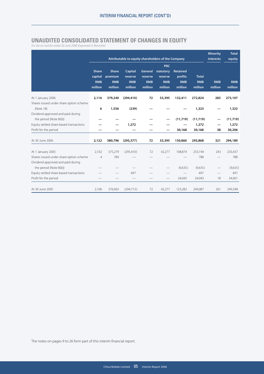## **UNAUDITED CONSOLIDATED STATEMENT OF CHANGES IN EQUITY**

For the six months ended 30 June 2006 (Expressed in Renminbi)

|                                                                                                        |                                                  |                                                  | Attributable to equity shareholders of the Company |                                             |                                                             |                                              |                                       | <b>Minority</b><br>interests | <b>Total</b><br>equity   |
|--------------------------------------------------------------------------------------------------------|--------------------------------------------------|--------------------------------------------------|----------------------------------------------------|---------------------------------------------|-------------------------------------------------------------|----------------------------------------------|---------------------------------------|------------------------------|--------------------------|
|                                                                                                        | <b>Share</b><br>capital<br><b>RMB</b><br>million | <b>Share</b><br>premium<br><b>RMB</b><br>million | <b>Capital</b><br>reserve<br><b>RMB</b><br>million | General<br>reserve<br><b>RMB</b><br>million | <b>PRC</b><br>statutory<br>reserve<br><b>RMB</b><br>million | Retained<br>profits<br><b>RMB</b><br>million | <b>Total</b><br><b>RMB</b><br>million | <b>RMB</b><br>million        | <b>RMB</b><br>million    |
| At 1 January 2006<br>Shares issued under share option scheme<br>(Note 18)                              | 2,116<br>6                                       | 379,240<br>1,556                                 | (294, 410)<br>(239)                                | 72                                          | 53,395                                                      | 132,411                                      | 272,824<br>1,323                      | 283                          | 273,107<br>1,323         |
| Dividend approved and paid during<br>the period (Note 8(b))<br>Equity settled share-based transactions |                                                  |                                                  | 1,272                                              |                                             |                                                             | (11, 719)                                    | (11,719)<br>1,272                     |                              | (11, 719)<br>1,272       |
| Profit for the period                                                                                  |                                                  |                                                  |                                                    |                                             |                                                             | 30,168                                       | 30,168                                | 38                           | 30,206                   |
| At 30 June 2006                                                                                        | 2,122                                            | 380,796                                          | (293, 377)                                         | 72                                          | 53,395                                                      | 150,860                                      | 293,868                               | 321                          | 294,189                  |
| At 1 January 2005<br>Shares issued under share option scheme<br>Dividend approved and paid during      | 2,102<br>$\overline{4}$                          | 375,279<br>784                                   | (295, 410)                                         | 72                                          | 42,277                                                      | 108,874                                      | 233,194<br>788                        | 243<br>$\qquad \qquad$       | 233,437<br>788           |
| the period (Note 8(b))<br>Equity settled share-based transactions<br>Profit for the period             |                                                  |                                                  | 697                                                |                                             |                                                             | (9,635)<br>24,043                            | (9,635)<br>697<br>24,043              | 18                           | (9,635)<br>697<br>24,061 |
| At 30 June 2005                                                                                        | 2,106                                            | 376,063                                          | (294, 713)                                         | 72                                          | 42,277                                                      | 123,282                                      | 249,087                               | 261                          | 249,348                  |

The notes on pages 9 to 26 form part of this interim financial report.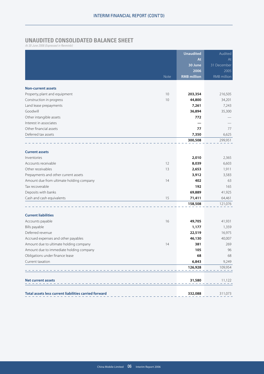## **UNAUDITED CONSOLIDATED BALANCE SHEET**

At 30 June 2006 (Expressed in Renminbi)

|                                                       |      | <b>Unaudited</b>   | Audited     |
|-------------------------------------------------------|------|--------------------|-------------|
|                                                       |      | At                 | At          |
|                                                       |      | 30 June            | 31 December |
|                                                       |      | 2006               | 2005        |
|                                                       | Note | <b>RMB</b> million | RMB million |
|                                                       |      |                    |             |
| <b>Non-current assets</b>                             |      |                    |             |
| Property, plant and equipment                         | 10   | 203,354            | 216,505     |
| Construction in progress                              | 10   | 44,800             | 34,201      |
| Land lease prepayments                                |      | 7,261              | 7,243       |
| Goodwill                                              |      | 36,894             | 35,300      |
| Other intangible assets                               |      | 772                |             |
| Interest in associates                                |      |                    |             |
| Other financial assets                                |      | 77                 | 77          |
| Deferred tax assets                                   |      | 7,350              | 6,625       |
|                                                       |      | 300,508            | 299,951     |
|                                                       |      |                    |             |
| <b>Current assets</b><br>Inventories                  |      |                    |             |
| Accounts receivable                                   |      | 2,010              | 2,365       |
|                                                       | 12   | 8,039              | 6,603       |
| Other receivables                                     | 13   | 2,653              | 1,911       |
| Prepayments and other current assets                  |      | 3,912              | 3,583       |
| Amount due from ultimate holding company              | 14   | 402                | 63          |
| Tax recoverable                                       |      | 192                | 165         |
| Deposits with banks                                   |      | 69,889             | 41,925      |
| Cash and cash equivalents                             | 15   | 71,411             | 64,461      |
|                                                       |      | 158,508            | 121,076     |
| <b>Current liabilities</b>                            |      |                    |             |
| Accounts payable                                      | 16   | 49,705             | 41,931      |
| Bills payable                                         |      | 1,177              | 1,359       |
| Deferred revenue                                      |      | 22,519             | 16,975      |
| Accrued expenses and other payables                   |      | 46,130             | 40,007      |
| Amount due to ultimate holding company                | 14   | 381                | 269         |
| Amount due to immediate holding company               |      | 105                | 96          |
| Obligations under finance lease                       |      | 68                 | 68          |
| Current taxation                                      |      | 6,843              | 9,249       |
|                                                       |      | 126,928            | 109,954     |
|                                                       |      |                    |             |
| <b>Net current assets</b>                             |      | 31,580             | 11,122      |
|                                                       |      |                    |             |
| Total assets less current liabilities carried forward |      | 332,088            | 311,073     |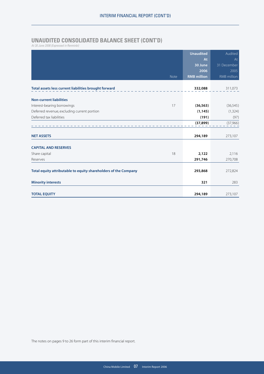## **UNAUDITED CONSOLIDATED BALANCE SHEET (CONT'D)**

At 30 June 2006 (Expressed in Renminbi)

|                                                                 |      | <b>Unaudited</b>   | Audited     |
|-----------------------------------------------------------------|------|--------------------|-------------|
|                                                                 |      | At                 | At          |
|                                                                 |      | 30 June            | 31 December |
|                                                                 |      | 2006               | 2005        |
|                                                                 | Note | <b>RMB</b> million | RMB million |
|                                                                 |      |                    |             |
| Total assets less current liabilities brought forward           |      | 332,088            | 311,073     |
| <b>Non-current liabilities</b>                                  |      |                    |             |
| Interest-bearing borrowings                                     | 17   | (36, 563)          | (36, 545)   |
| Deferred revenue, excluding current portion                     |      | (1, 145)           | (1, 324)    |
| Deferred tax liabilities                                        |      | (191)              | (97)        |
|                                                                 |      | (37, 899)          | (37,966)    |
|                                                                 |      |                    |             |
| <b>NET ASSETS</b>                                               |      | 294,189            | 273,107     |
| <b>CAPITAL AND RESERVES</b>                                     |      |                    |             |
| Share capital                                                   | 18   | 2,122              | 2,116       |
| Reserves                                                        |      | 291,746            | 270,708     |
|                                                                 |      |                    |             |
| Total equity attributable to equity shareholders of the Company |      | 293,868            | 272,824     |
| <b>Minority interests</b>                                       |      | 321                | 283         |
|                                                                 |      |                    |             |
| <b>TOTAL EQUITY</b>                                             |      | 294,189            | 273,107     |

The notes on pages 9 to 26 form part of this interim financial report.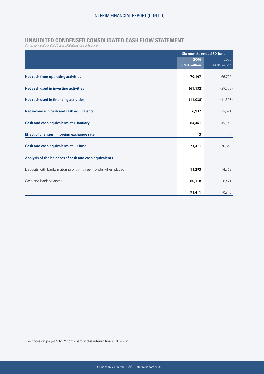## **UNAUDITED CONDENSED CONSOLIDATED CASH FLOW STATEMENT**

For the six months ended 30 June 2006 (Expressed in Renminbi)

|                                                              | Six months ended 30 June |             |
|--------------------------------------------------------------|--------------------------|-------------|
|                                                              | 2006                     | 2005        |
|                                                              | <b>RMB million</b>       | RMB million |
| Net cash from operating activities                           | 79,107                   | 66,727      |
| Net cash used in investing activities                        | (61, 132)                | (29, 533)   |
| Net cash used in financing activities                        | (11, 038)                | (11,503)    |
| Net increase in cash and cash equivalents                    | 6,937                    | 25,691      |
| Cash and cash equivalents at 1 January                       | 64,461                   | 45,149      |
| Effect of changes in foreign exchange rate                   | 13                       |             |
| Cash and cash equivalents at 30 June                         | 71,411                   | 70,840      |
| Analysis of the balances of cash and cash equivalents        |                          |             |
| Deposits with banks maturing within three months when placed | 11,293                   | 14,369      |
| Cash and bank balances                                       | 60,118                   | 56,471      |
|                                                              | 71,411                   | 70,840      |

The notes on pages 9 to 26 form part of this interim financial report.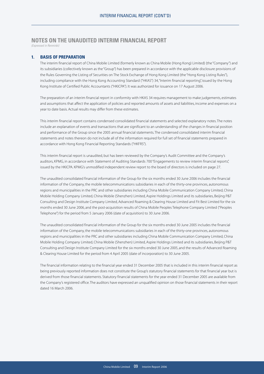## **NOTES ON THE UNAUDITED INTERIM FINANCIAL REPORT**

(Expressed in Renminbi)

## **1. BASIS OF PREPARATION**

The interim financial report of China Mobile Limited (formerly known as China Mobile (Hong Kong) Limited) (the "Company") and its subsidiaries (collectively known as the "Group") has been prepared in accordance with the applicable disclosure provisions of the Rules Governing the Listing of Securities on The Stock Exchange of Hong Kong Limited (the "Hong Kong Listing Rules"), including compliance with the Hong Kong Accounting Standard ("HKAS") 34, "Interim financial reporting", issued by the Hong Kong Institute of Certified Public Accountants ("HKICPA"). It was authorized for issuance on 17 August 2006.

The preparation of an interim financial report in conformity with HKAS 34 requires management to make judgements, estimates and assumptions that affect the application of policies and reported amounts of assets and liabilities, income and expenses on a year to date basis. Actual results may differ from these estimates.

This interim financial report contains condensed consolidated financial statements and selected explanatory notes. The notes include an explanation of events and transactions that are significant to an understanding of the changes in financial position and performance of the Group since the 2005 annual financial statements. The condensed consolidated interim financial statements and notes thereon do not include all of the information required for full set of financial statements prepared in accordance with Hong Kong Financial Reporting Standards ("HKFRS").

This interim financial report is unaudited, but has been reviewed by the Company's Audit Committee and the Company's auditors, KPMG, in accordance with Statement of Auditing Standards 700 "Engagements to review interim financial reports", issued by the HKICPA. KPMG's unmodified independent review report to the board of directors is included on page 27.

The unaudited consolidated financial information of the Group for the six months ended 30 June 2006 includes the financial information of the Company, the mobile telecommunications subsidiaries in each of the thirty-one provinces, autonomous regions and municipalities in the PRC and other subsidiaries including China Mobile Communication Company Limited, China Mobile Holding Company Limited, China Mobile (Shenzhen) Limited, Aspire Holdings Limited and its subsidiaries, Beijing P&T Consulting and Design Institute Company Limited, Advanced Roaming & Clearing House Limited and Fit Best Limited for the six months ended 30 June 2006, and the post-acquisition results of China Mobile Peoples Telephone Company Limited ("Peoples Telephone") for the period from 5 January 2006 (date of acquisition) to 30 June 2006.

The unaudited consolidated financial information of the Group for the six months ended 30 June 2005 includes the financial information of the Company, the mobile telecommunications subsidiaries in each of the thirty-one provinces, autonomous regions and municipalities in the PRC and other subsidiaries including China Mobile Communication Company Limited, China Mobile Holding Company Limited, China Mobile (Shenzhen) Limited, Aspire Holdings Limited and its subsidiaries, Beijing P&T Consulting and Design Institute Company Limited for the six months ended 30 June 2005, and the results of Advanced Roaming & Clearing House Limited for the period from 4 April 2005 (date of incorporation) to 30 June 2005.

The financial information relating to the financial year ended 31 December 2005 that is included in this interim financial report as being previously reported information does not constitute the Group's statutory financial statements for that financial year but is derived from those financial statements. Statutory financial statements for the year ended 31 December 2005 are available from the Company's registered office. The auditors have expressed an unqualified opinion on those financial statements in their report dated 16 March 2006.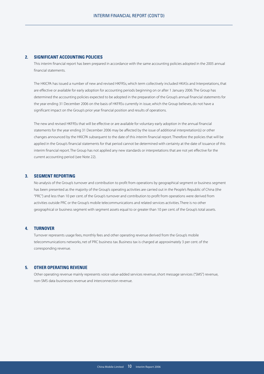#### **2. SIGNIFICANT ACCOUNTING POLICIES**

This interim financial report has been prepared in accordance with the same accounting policies adopted in the 2005 annual financial statements.

The HKICPA has issued a number of new and revised HKFRSs, which term collectively included HKASs and Interpretations, that are effective or available for early adoption for accounting periods beginning on or after 1 January 2006. The Group has determined the accounting policies expected to be adopted in the preparation of the Group's annual financial statements for the year ending 31 December 2006 on the basis of HKFRSs currently in issue, which the Group believes, do not have a significant impact on the Group's prior year financial position and results of operations.

The new and revised HKFRSs that will be effective or are available for voluntary early adoption in the annual financial statements for the year ending 31 December 2006 may be affected by the issue of additional interpretation(s) or other changes announced by the HKICPA subsequent to the date of this interim financial report. Therefore the policies that will be applied in the Group's financial statements for that period cannot be determined with certainty at the date of issuance of this interim financial report. The Group has not applied any new standards or interpretations that are not yet effective for the current accounting period (see Note 22).

#### **3. SEGMENT REPORTING**

No analysis of the Group's turnover and contribution to profit from operations by geographical segment or business segment has been presented as the majority of the Group's operating activities are carried out in the People's Republic of China (the "PRC") and less than 10 per cent. of the Group's turnover and contribution to profit from operations were derived from activities outside PRC or the Group's mobile telecommunications and related services activities. There is no other geographical or business segment with segment assets equal to or greater than 10 per cent. of the Group's total assets.

#### **4. TURNOVER**

Turnover represents usage fees, monthly fees and other operating revenue derived from the Group's mobile telecommunications networks, net of PRC business tax. Business tax is charged at approximately 3 per cent. of the corresponding revenue.

#### **5. OTHER OPERATING REVENUE**

Other operating revenue mainly represents voice value-added services revenue, short message services ("SMS") revenue, non-SMS data businesses revenue and interconnection revenue.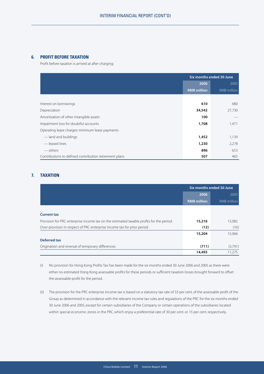### **6. PROFIT BEFORE TAXATION**

Profit before taxation is arrived at after charging:

|                                                        | Six months ended 30 June |             |
|--------------------------------------------------------|--------------------------|-------------|
|                                                        | 2006                     | 2005        |
|                                                        | <b>RMB</b> million       | RMB million |
|                                                        |                          |             |
| Interest on borrowings                                 | 610                      | 680         |
| Depreciation                                           | 34,542                   | 27,730      |
| Amortization of other intangible assets                | 100                      |             |
| Impairment loss for doubtful accounts                  | 1,708                    | 1,471       |
| Operating lease charges: minimum lease payments        |                          |             |
| -land and buildings                                    | 1,452                    | 1,139       |
| - leased lines                                         | 1,230                    | 2,278       |
| — others                                               | 896                      | 653         |
| Contributions to defined contribution retirement plans | 507                      | 465         |

## **7. TAXATION**

|                                                                                         | Six months ended 30 June |                    |
|-----------------------------------------------------------------------------------------|--------------------------|--------------------|
|                                                                                         | 2006                     | 2005               |
|                                                                                         | <b>RMB</b> million       | <b>RMB</b> million |
|                                                                                         |                          |                    |
| <b>Current tax</b>                                                                      |                          |                    |
| Provision for PRC enterprise income tax on the estimated taxable profits for the period | 15,216                   | 15,082             |
| Over-provision in respect of PRC enterprise income tax for prior period                 | (12)                     | (16)               |
|                                                                                         | 15,204                   | 15,066             |
| Deferred tax                                                                            |                          |                    |
| Origination and reversal of temporary differences                                       | (711)                    | (3,791)            |
|                                                                                         | 14,493                   | 11,275             |

(i) No provision for Hong Kong Profits Tax has been made for the six months ended 30 June 2006 and 2005 as there were either no estimated Hong Kong assessable profits for these periods or sufficient taxation losses brought forward to offset the assessable profit for the period.

(ii) The provision for the PRC enterprise income tax is based on a statutory tax rate of 33 per cent. of the assessable profit of the Group as determined in accordance with the relevant income tax rules and regulations of the PRC for the six months ended 30 June 2006 and 2005, except for certain subsidiaries of the Company or certain operations of the subsidiaries located within special economic zones in the PRC, which enjoy a preferential rate of 30 per cent. or 15 per cent. respectively.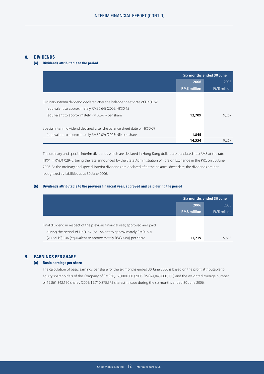#### **8. DIVIDENDS**

#### **(a) Dividends attributable to the period**

|                                                                                                                                                                                          | Six months ended 30 June |                    |  |
|------------------------------------------------------------------------------------------------------------------------------------------------------------------------------------------|--------------------------|--------------------|--|
|                                                                                                                                                                                          | 2006                     | 2005               |  |
|                                                                                                                                                                                          | <b>RMB million</b>       | <b>RMB</b> million |  |
| Ordinary interim dividend declared after the balance sheet date of HK\$0.62<br>(equivalent to approximately RMB0.64) (2005: HK\$0.45<br>(equivalent to approximately RMB0.47)) per share | 12,709                   | 9,267              |  |
| Special interim dividend declared after the balance sheet date of HK\$0.09<br>(equivalent to approximately RMB0.09) (2005: Nil) per share                                                | 1,845                    |                    |  |
|                                                                                                                                                                                          | 14,554                   | 9,267              |  |

The ordinary and special interim dividends which are declared in Hong Kong dollars are translated into RMB at the rate HK\$1 = RMB1.02942, being the rate announced by the State Administration of Foreign Exchange in the PRC on 30 June 2006. As the ordinary and special interim dividends are declared after the balance sheet date, the dividends are not recognized as liabilities as at 30 June 2006.

#### **(b) Dividends attributable to the previous financial year, approved and paid during the period**

|                                                                             | Six months ended 30 June |             |
|-----------------------------------------------------------------------------|--------------------------|-------------|
|                                                                             | 2006                     | 2005        |
|                                                                             | <b>RMB</b> million       | RMB million |
|                                                                             |                          |             |
| Final dividend in respect of the previous financial year, approved and paid |                          |             |
| during the period, of HK\$0.57 (equivalent to approximately RMB0.59)        |                          |             |
| (2005: HK\$0.46 (equivalent to approximately RMB0.49)) per share            | 11,719                   | 9,635       |

#### **9. EARNINGS PER SHARE**

#### **(a) Basic earnings per share**

The calculation of basic earnings per share for the six months ended 30 June 2006 is based on the profit attributable to equity shareholders of the Company of RMB30,168,000,000 (2005: RMB24,043,000,000) and the weighted average number of 19,861,342,150 shares (2005: 19,710,875,575 shares) in issue during the six months ended 30 June 2006.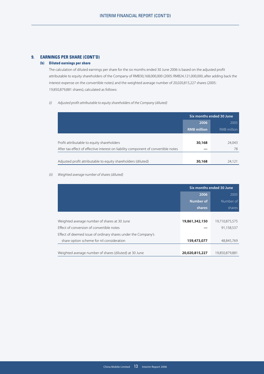#### **9. EARNINGS PER SHARE (CONT'D)**

#### **(b) Diluted earnings per share**

The calculation of diluted earnings per share for the six months ended 30 June 2006 is based on the adjusted profit attributable to equity shareholders of the Company of RMB30,168,000,000 (2005: RMB24,121,000,000, after adding back the interest expense on the convertible notes) and the weighted average number of 20,020,815,227 shares (2005: 19,850,879,881 shares), calculated as follows:

#### *(i) Adjusted profit attributable to equity shareholders of the Company (diluted)*

|                                                                                    | Six months ended 30 June |                    |
|------------------------------------------------------------------------------------|--------------------------|--------------------|
|                                                                                    | 2006                     | 2005               |
|                                                                                    | <b>RMB</b> million       | <b>RMB</b> million |
|                                                                                    |                          |                    |
| Profit attributable to equity shareholders                                         | 30,168                   | 24,043             |
| After tax effect of effective interest on liability component of convertible notes |                          | 78                 |
|                                                                                    |                          |                    |
| Adjusted profit attributable to equity shareholders (diluted)                      | 30,168                   | 24.121             |

#### *(ii) Weighted average number of shares (diluted)*

|                                                               | Six months ended 30 June |                |  |
|---------------------------------------------------------------|--------------------------|----------------|--|
|                                                               | 2006                     | 2005           |  |
|                                                               | Number of                | Number of      |  |
|                                                               | shares                   | shares         |  |
|                                                               |                          |                |  |
| Weighted average number of shares at 30 June                  | 19,861,342,150           | 19,710,875,575 |  |
| Effect of conversion of convertible notes                     |                          | 91,158,537     |  |
| Effect of deemed issue of ordinary shares under the Company's |                          |                |  |
| share option scheme for nil consideration                     | 159,473,077              | 48,845,769     |  |
|                                                               |                          |                |  |
| Weighted average number of shares (diluted) at 30 June        | 20,020,815,227           | 19,850,879,881 |  |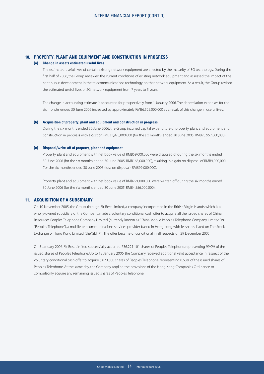#### **10. PROPERTY, PLANT AND EQUIPMENT AND CONSTRUCTION IN PROGRESS**

#### **(a) Change in assets estimated useful lives**

The estimated useful lives of certain existing network equipment are affected by the maturity of 3G technology. During the first half of 2006, the Group reviewed the current conditions of existing network equipment and assessed the impact of the continuous development in the telecommunications technology on that network equipment. As a result, the Group revised the estimated useful lives of 2G network equipment from 7 years to 5 years.

The change in accounting estimate is accounted for prospectively from 1 January 2006. The depreciation expenses for the six months ended 30 June 2006 increased by approximately RMB6,529,000,000 as a result of this change in useful lives.

#### **(b) Acquisition of property, plant and equipment and construction in progress**

During the six months ended 30 June 2006, the Group incurred capital expenditure of property, plant and equipment and construction in progress with a cost of RMB31,925,000,000 (for the six months ended 30 June 2005: RMB25,957,000,000).

#### **(c) Disposal/write-off of property, plant and equipment**

Property, plant and equipment with net book value of RMB59,000,000 were disposed of during the six months ended 30 June 2006 (for the six months ended 30 June 2005: RMB163,000,000), resulting in a gain on disposal of RMB9,000,000 (for the six months ended 30 June 2005 (loss on disposal): RMB99,000,000).

Property, plant and equipment with net book value of RMB721,000,000 were written off during the six months ended 30 June 2006 (for the six months ended 30 June 2005: RMB4,556,000,000).

#### **11. ACQUISITION OF A SUBSIDIARY**

On 10 November 2005, the Group, through Fit Best Limited, a company incorporated in the British Virgin Islands which is a wholly-owned subsidiary of the Company, made a voluntary conditional cash offer to acquire all the issued shares of China Resources Peoples Telephone Company Limited (currently known as "China Mobile Peoples Telephone Company Limited", or "Peoples Telephone"), a mobile telecommunications services provider based in Hong Kong with its shares listed on The Stock Exchange of Hong Kong Limited (the "SEHK"). The offer became unconditional in all respects on 29 December 2005.

On 5 January 2006, Fit Best Limited successfully acquired 736,221,101 shares of Peoples Telephone, representing 99.0% of the issued shares of Peoples Telephone. Up to 12 January 2006, the Company received additional valid acceptance in respect of the voluntary conditional cash offer to acquire 5,073,500 shares of Peoples Telephone, representing 0.68% of the issued shares of Peoples Telephone. At the same day, the Company applied the provisions of the Hong Kong Companies Ordinance to compulsorily acquire any remaining issued shares of Peoples Telephone.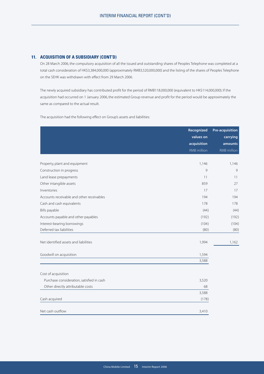#### **11. ACQUISITION OF A SUBSIDIARY (CONT'D)**

On 28 March 2006, the compulsory acquisition of all the issued and outstanding shares of Peoples Telephone was completed at a total cash consideration of HK\$3,384,000,000 (approximately RMB3,520,000,000) and the listing of the shares of Peoples Telephone on the SEHK was withdrawn with effect from 29 March 2006.

The newly acquired subsidiary has contributed profit for the period of RMB118,000,000 (equivalent to HK\$114,000,000). If the acquisition had occurred on 1 January 2006, the estimated Group revenue and profit for the period would be approximately the same as compared to the actual result.

The acquisition had the following effect on Group's assets and liabilities:

|                                           | Recognized<br>values on<br>acquisition<br>RMB million | <b>Pre-acquisition</b><br>carrying<br>amounts<br>RMB million |
|-------------------------------------------|-------------------------------------------------------|--------------------------------------------------------------|
|                                           |                                                       |                                                              |
| Property, plant and equipment             | 1,146                                                 | 1,146                                                        |
| Construction in progress                  | 9                                                     | 9                                                            |
| Land lease prepayments                    | 11                                                    | 11                                                           |
| Other intangible assets                   | 859                                                   | 27                                                           |
| Inventories                               | 17                                                    | 17                                                           |
| Accounts receivable and other receivables | 194                                                   | 194                                                          |
| Cash and cash equivalents                 | 178                                                   | 178                                                          |
| Bills payable                             | (44)                                                  | (44)                                                         |
| Accounts payable and other payables       | (192)                                                 | (192)                                                        |
| Interest-bearing borrowings               | (104)                                                 | (104)                                                        |
| Deferred tax liabilities                  | (80)                                                  | (80)                                                         |
| Net identified assets and liabilities     | 1,994                                                 | 1,162                                                        |
| Goodwill on acquisition                   | 1,594                                                 |                                                              |
|                                           | 3,588                                                 |                                                              |
| Cost of acquisition                       |                                                       |                                                              |
| Purchase consideration, satisfied in cash | 3,520                                                 |                                                              |
| Other directly attributable costs         | 68                                                    |                                                              |
|                                           | 3,588                                                 |                                                              |
| Cash acquired                             | (178)                                                 |                                                              |
| Net cash outflow                          | 3,410                                                 |                                                              |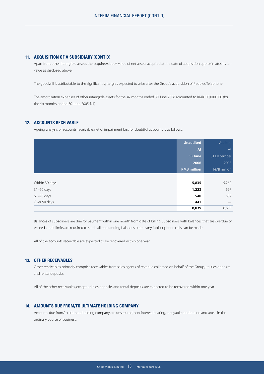#### **11. ACQUISITION OF A SUBSIDIARY (CONT'D)**

Apart from other intangible assets, the acquiree's book value of net assets acquired at the date of acquisition approximates its fair value as disclosed above.

The goodwill is attributable to the significant synergies expected to arise after the Group's acquisition of Peoples Telephone.

The amortization expenses of other intangible assets for the six months ended 30 June 2006 amounted to RMB100,000,000 (for the six months ended 30 June 2005: Nil).

#### **12. ACCOUNTS RECEIVABLE**

Ageing analysis of accounts receivable, net of impairment loss for doubtful accounts is as follows:

|                | <b>Unaudited</b>   | Audited     |
|----------------|--------------------|-------------|
|                | At                 | At          |
|                | 30 June            | 31 December |
|                | 2006               | 2005        |
|                | <b>RMB</b> million | RMB million |
|                |                    |             |
| Within 30 days | 5,835              | 5,269       |
| 31-60 days     | 1,223              | 697         |
| 61-90 days     | 540                | 637         |
| Over 90 days   | 441                |             |
|                | 8,039              | 6,603       |

Balances of subscribers are due for payment within one month from date of billing. Subscribers with balances that are overdue or exceed credit limits are required to settle all outstanding balances before any further phone calls can be made.

All of the accounts receivable are expected to be recovered within one year.

#### **13. OTHER RECEIVABLES**

Other receivables primarily comprise receivables from sales agents of revenue collected on behalf of the Group, utilities deposits and rental deposits.

All of the other receivables, except utilities deposits and rental deposits, are expected to be recovered within one year.

#### **14. AMOUNTS DUE FROM/TO ULTIMATE HOLDING COMPANY**

Amounts due from/to ultimate holding company are unsecured, non-interest bearing, repayable on demand and arose in the ordinary course of business.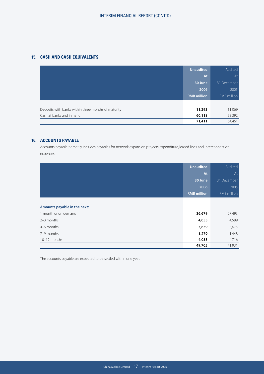## **15. CASH AND CASH EQUIVALENTS**

|                                                     | <b>Unaudited</b>   | Audited     |
|-----------------------------------------------------|--------------------|-------------|
|                                                     | At                 | At          |
|                                                     | 30 June            | 31 December |
|                                                     | 2006               | 2005        |
|                                                     | <b>RMB</b> million | RMB million |
|                                                     |                    |             |
| Deposits with banks within three months of maturity | 11,293             | 11,069      |
| Cash at banks and in hand                           | 60,118             | 53,392      |
|                                                     | 71,411             | 64,461      |

### **16. ACCOUNTS PAYABLE**

Accounts payable primarily includes payables for network expansion projects expenditure, leased lines and interconnection expenses.

|                              | <b>Unaudited</b>   | Audited     |
|------------------------------|--------------------|-------------|
|                              | At                 | At          |
|                              | 30 June            | 31 December |
|                              | 2006               | 2005        |
|                              | <b>RMB</b> million | RMB million |
|                              |                    |             |
| Amounts payable in the next: |                    |             |
| 1 month or on demand         | 36,679             | 27,493      |
| $2-3$ months                 | 4,055              | 4,599       |
| 4-6 months                   | 3,639              | 3,675       |
| 7-9 months                   | 1,279              | 1,448       |
| 10-12 months                 | 4,053              | 4,716       |
|                              | 49,705             | 41,931      |

The accounts payable are expected to be settled within one year.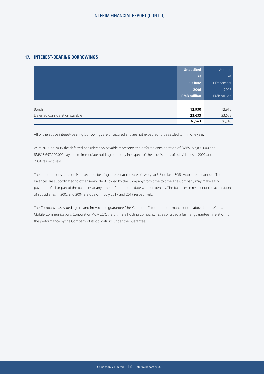#### **17. INTEREST-BEARING BORROWINGS**

|                                | <b>Unaudited</b>   | Audited     |
|--------------------------------|--------------------|-------------|
|                                | At                 | At          |
|                                | 30 June            | 31 December |
|                                | 2006               | 2005        |
|                                | <b>RMB</b> million | RMB million |
|                                |                    |             |
| Bonds                          | 12,930             | 12,912      |
| Deferred consideration payable | 23,633             | 23,633      |
|                                | 36,563             | 36,545      |

All of the above interest-bearing borrowings are unsecured and are not expected to be settled within one year.

As at 30 June 2006, the deferred consideration payable represents the deferred consideration of RMB9,976,000,000 and RMB13,657,000,000 payable to immediate holding company in respect of the acquisitions of subsidiaries in 2002 and 2004 respectively.

The deferred consideration is unsecured, bearing interest at the rate of two-year US dollar LIBOR swap rate per annum. The balances are subordinated to other senior debts owed by the Company from time to time. The Company may make early payment of all or part of the balances at any time before the due date without penalty. The balances in respect of the acquisitions of subsidiaries in 2002 and 2004 are due on 1 July 2017 and 2019 respectively.

The Company has issued a joint and irrevocable guarantee (the "Guarantee") for the performance of the above bonds. China Mobile Communications Corporation ("CMCC"), the ultimate holding company, has also issued a further guarantee in relation to the performance by the Company of its obligations under the Guarantee.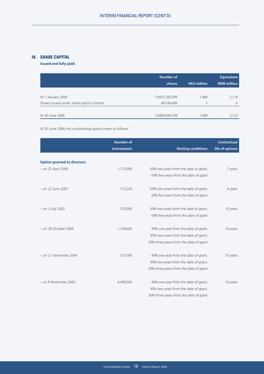## **18. SHARE CAPITAL**

**Issued and fully paid:**

|                                         | Number of      |              | <b>Equivalent</b>  |
|-----------------------------------------|----------------|--------------|--------------------|
|                                         | shares         | HK\$ million | <b>RMB</b> million |
|                                         |                |              |                    |
| At 1 January 2006                       | 19,835,160,399 | 1,984        | 2,116              |
| Shares issued under share option scheme | 48,936,400     | 5            | 6                  |
|                                         |                |              |                    |
| At 30 June 2006                         | 19,884,096,799 | 1.989        | 2,122              |

At 30 June 2006, the outstanding options were as follows:

|                                    | <b>Number of</b> |                                        | <b>Contractual</b> |
|------------------------------------|------------------|----------------------------------------|--------------------|
|                                    | instruments      | <b>Vesting conditions</b>              | life of options    |
|                                    |                  |                                        |                    |
| <b>Option granted to directors</b> |                  |                                        |                    |
| - on 25 April 2000                 | 1,170,000        | 50% two years from the date of grant,  | 7 years            |
|                                    |                  | 50% five years from the date of grant  |                    |
| - on 22 June 2001                  | 153,250          | 50% two years from the date of grant,  | 6 years            |
|                                    |                  | 50% five years from the date of grant  |                    |
| - on 3 July 2002                   | 370,000          | 50% two years from the date of grant,  | 10 years           |
|                                    |                  | 50% five years from the date of grant  |                    |
| - on 28 October 2004               | 1,144,600        | 40% one year from the date of grant,   | 10 years           |
|                                    |                  | 30% two years from the date of grant,  |                    |
|                                    |                  | 30% three years from the date of grant |                    |
| - on 21 December 2004              | 515,000          | 40% one year from the date of grant,   | 10 years           |
|                                    |                  | 30% two years from the date of grant,  |                    |
|                                    |                  | 30% three years from the date of grant |                    |
| - on 8 November 2005               | 6,490,500        | 40% one year from the date of grant,   | 10 years           |
|                                    |                  | 30% two years from the date of grant,  |                    |
|                                    |                  | 30% three years from the date of grant |                    |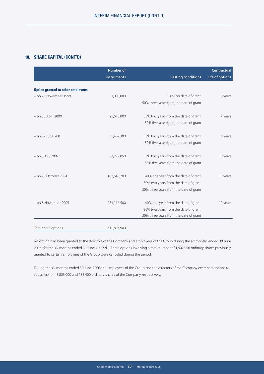#### **18. SHARE CAPITAL (CONT'D)**

|                                          | <b>Number of</b> |                                        | Contractual     |
|------------------------------------------|------------------|----------------------------------------|-----------------|
|                                          | instruments      | <b>Vesting conditions</b>              | life of options |
|                                          |                  |                                        |                 |
| <b>Option granted to other employees</b> |                  |                                        |                 |
| - on 26 November 1999                    | 1,000,000        | 50% on date of grant,                  | 8 years         |
|                                          |                  | 50% three years from the date of grant |                 |
| - on 25 April 2000                       | 25,618,000       | 50% two years from the date of grant,  | 7 years         |
|                                          |                  | 50% five years from the date of grant  |                 |
|                                          |                  |                                        |                 |
| - on 22 June 2001                        | 37,409,300       | 50% two years from the date of grant,  | 6 years         |
|                                          |                  | 50% five years from the date of grant  |                 |
| - on 3 July 2002                         | 73,222,050       | 50% two years from the date of grant,  | 10 years        |
|                                          |                  | 50% five years from the date of grant  |                 |
|                                          |                  |                                        |                 |
| - on 28 October 2004                     | 183,645,700      | 40% one year from the date of grant,   | 10 years        |
|                                          |                  | 30% two years from the date of grant,  |                 |
|                                          |                  | 30% three years from the date of grant |                 |
| - on 8 November 2005                     | 281,116,500      | 40% one year from the date of grant,   | 10 years        |
|                                          |                  | 30% two years from the date of grant,  |                 |
|                                          |                  | 30% three years from the date of grant |                 |
|                                          |                  |                                        |                 |
| Total share options                      | 611,854,900      |                                        |                 |

No option had been granted to the directors of the Company and employees of the Group during the six months ended 30 June 2006 (for the six months ended 30 June 2005: Nil). Share options involving a total number of 1,902,950 ordinary shares previously granted to certain employees of the Group were canceled during the period.

During the six months ended 30 June 2006, the employees of the Group and the directors of the Company exercised options to subscribe for 48,803,000 and 133,400 ordinary shares of the Company, respectively.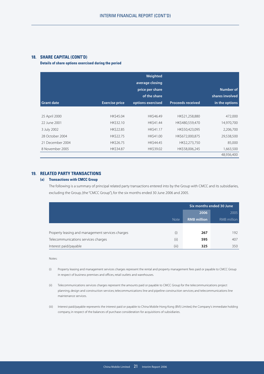#### **18. SHARE CAPITAL (CONT'D)**

**Details of share options exercised during the period**

|                   |                       | Weighted<br>average closing<br>price per share<br>of the share |                          | <b>Number of</b><br>shares involved |
|-------------------|-----------------------|----------------------------------------------------------------|--------------------------|-------------------------------------|
| <b>Grant date</b> | <b>Exercise price</b> | options exercised                                              | <b>Proceeds received</b> | in the options                      |
|                   |                       |                                                                |                          |                                     |
| 25 April 2000     | HK\$45.04             | HK\$46.49                                                      | HK\$21,258,880           | 472,000                             |
| 22 June 2001      | HK\$32.10             | HK\$41.44                                                      | HK\$480,559,470          | 14,970,700                          |
| 3 July 2002       | HK\$22.85             | HK\$41.17                                                      | HK\$50,423,095           | 2,206,700                           |
| 28 October 2004   | HK\$22.75             | HK\$41.00                                                      | HK\$672,000,875          | 29,538,500                          |
| 21 December 2004  | HK\$26.75             | HK\$44.45                                                      | HK\$2,273,750            | 85,000                              |
| 8 November 2005   | HK\$34.87             | HK\$39.02                                                      | HK\$58,006,245           | 1,663,500                           |
|                   |                       |                                                                |                          | 48.936.400                          |

## **19. RELATED PARTY TRANSACTIONS**

#### **(a) Transactions with CMCC Group**

The following is a summary of principal related party transactions entered into by the Group with CMCC and its subsidiaries, excluding the Group, (the "CMCC Group"), for the six months ended 30 June 2006 and 2005.

|                                                  |             | <b>Six months ended 30 June</b> |                    |
|--------------------------------------------------|-------------|---------------------------------|--------------------|
|                                                  |             | 2006                            | 2005               |
|                                                  | <b>Note</b> | <b>RMB million</b>              | <b>RMB</b> million |
|                                                  |             |                                 |                    |
| Property leasing and management services charges | (i)         | 267                             | 192                |
| Telecommunications services charges              | (ii)        | 595                             | 407                |
| Interest paid/payable                            | (iii)       | 325                             | 350                |

Notes:

- (i) Property leasing and management services charges represent the rental and property management fees paid or payable to CMCC Group in respect of business premises and offices, retail outlets and warehouses.
- (ii) Telecommunications services charges represent the amounts paid or payable to CMCC Group for the telecommunications project planning, design and construction services; telecommunications line and pipeline construction services; and telecommunications line maintenance services.
- (iii) Interest paid/payable represents the interest paid or payable to China Mobile Hong Kong (BVI) Limited, the Company's immediate holding company, in respect of the balances of purchase consideration for acquisitions of subsidiaries.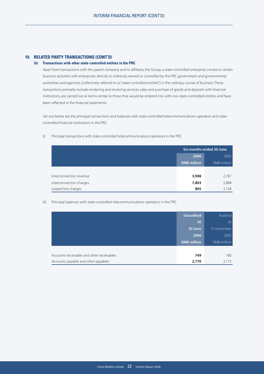#### **19. RELATED PARTY TRANSACTIONS (CONT'D)**

#### **(b) Transactions with other state-controlled entities in the PRC**

Apart from transactions with the parent company and its affiliates, the Group, a state-controlled enterprise, conducts certain business activities with enterprises directly or indirectly owned or controlled by the PRC government and governmental authorities and agencies (collectively referred to as "state-controlled entities") in the ordinary course of business. These transactions primarily include rendering and receiving services, sales and purchase of goods and deposits with financial institutions, are carried out at terms similar to those that would be entered into with non-state-controlled entities and have been reflected in the financial statements.

Set out below are the principal transactions and balances with state-controlled telecommunications operators and statecontrolled financial institutions in the PRC:

|                         | Six months ended 30 June |             |
|-------------------------|--------------------------|-------------|
|                         | 2006                     | 2005        |
|                         | <b>RMB</b> million       | RMB million |
|                         |                          |             |
| Interconnection revenue | 3,908                    | 2,787       |
| Interconnection charges | 7,803                    | 5,888       |
| Leased line charges     | 805                      | 2,158       |

(i) Principal transactions with state-controlled telecommunications operators in the PRC

(ii) Principal balances with state-controlled telecommunications operators in the PRC

|                                           | <b>Unaudited</b>   | Audited     |
|-------------------------------------------|--------------------|-------------|
|                                           | At                 | At          |
|                                           | 30 June            | 31 December |
|                                           | 2006               | 2005        |
|                                           | <b>RMB</b> million | RMB million |
|                                           |                    |             |
| Accounts receivable and other receivables | 749                | 180         |
| Accounts payable and other payables       | 2,770              | 2,172       |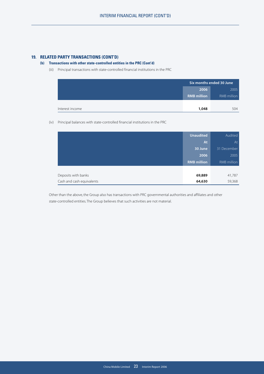### **19. RELATED PARTY TRANSACTIONS (CONT'D)**

#### **(b) Transactions with other state-controlled entities in the PRC (Cont'd)**

(iii) Principal transactions with state-controlled financial institutions in the PRC

|                 | Six months ended 30 June |             |
|-----------------|--------------------------|-------------|
|                 | 2006                     | 2005        |
|                 | <b>RMB</b> million       | RMB million |
|                 |                          |             |
| Interest income | 1,048                    | 504         |

#### (iv) Principal balances with state-controlled financial institutions in the PRC

|                           | <b>Unaudited</b>   | Audited     |
|---------------------------|--------------------|-------------|
|                           | At                 | At          |
|                           | 30 June            | 31 December |
|                           | 2006               | 2005        |
|                           | <b>RMB</b> million | RMB million |
|                           |                    |             |
| Deposits with banks       | 69,889             | 41,787      |
| Cash and cash equivalents | 64,630             | 59,368      |

Other than the above, the Group also has transactions with PRC governmental authorities and affiliates and other state-controlled entities. The Group believes that such activities are not material.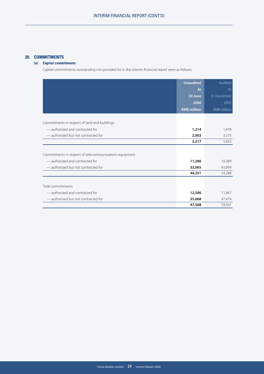## **20. COMMITMENTS**

### **(a) Capital commitments**

Capital commitments outstanding not provided for in the interim financial report were as follows:

|                                                        | <b>Unaudited</b>   | Audited     |
|--------------------------------------------------------|--------------------|-------------|
|                                                        | At                 | At          |
|                                                        | 30 June            | 31 December |
|                                                        | 2006               | 2005        |
|                                                        | <b>RMB</b> million | RMB million |
|                                                        |                    |             |
| Commitments in respect of land and buildings           |                    |             |
| - authorized and contracted for                        | 1,214              | 1,478       |
| - authorized but not contracted for                    | 2,003              | 3,575       |
|                                                        | 3,217              | 5,053       |
|                                                        |                    |             |
| Commitments in respect of telecommunications equipment |                    |             |
| - authorized and contracted for                        | 11,286             | 10,389      |
| - authorized but not contracted for                    | 33,065             | 43,899      |
|                                                        | 44,351             | 54,288      |
|                                                        |                    |             |
| Total commitments                                      |                    |             |
| - authorized and contracted for                        | 12,500             | 11,867      |
| - authorized but not contracted for                    | 35,068             | 47,474      |
|                                                        | 47,568             | 59,341      |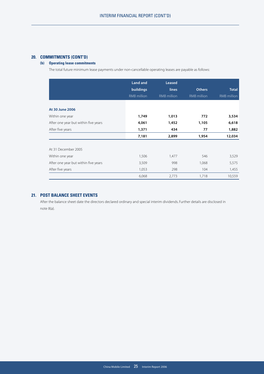#### **20. COMMITMENTS (CONT'D)**

#### **(b) Operating lease commitments**

The total future minimum lease payments under non-cancellable operating leases are payable as follows:

|                                      | <b>Land and</b> | <b>Leased</b> |               |              |
|--------------------------------------|-----------------|---------------|---------------|--------------|
|                                      | buildings       | <b>lines</b>  | <b>Others</b> | <b>Total</b> |
|                                      | RMB million     | RMB million   | RMB million   | RMB million  |
|                                      |                 |               |               |              |
| At 30 June 2006                      |                 |               |               |              |
| Within one year                      | 1,749           | 1,013         | 772           | 3,534        |
| After one year but within five years | 4,061           | 1,452         | 1,105         | 6,618        |
| After five years                     | 1,371           | 434           | 77            | 1,882        |
|                                      | 7,181           | 2,899         | 1,954         | 12,034       |
|                                      |                 |               |               |              |
| At 31 December 2005                  |                 |               |               |              |
| Within one year                      | 1,506           | 1,477         | 546           | 3,529        |
| After one year but within five years | 3,509           | 998           | 1,068         | 5,575        |
| After five years                     | 1,053           | 298           | 104           | 1,455        |
|                                      | 6,068           | 2,773         | 1,718         | 10,559       |

### **21. POST BALANCE SHEET EVENTS**

After the balance sheet date the directors declared ordinary and special interim dividends. Further details are disclosed in note 8(a).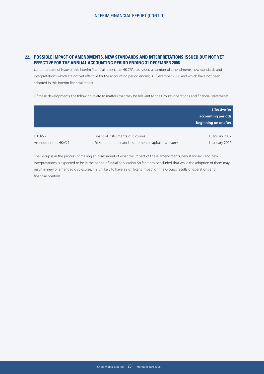#### **22. POSSIBLE IMPACT OF AMENDMENTS, NEW STANDARDS AND INTERPRETATIONS ISSUED BUT NOT YET EFFECTIVE FOR THE ANNUAL ACCOUNTING PERIOD ENDING 31 DECEMBER 2006**

Up to the date of issue of this interim financial report, the HKICPA has issued a number of amendments, new standards and interpretations which are not yet effective for the accounting period ending 31 December 2006 and which have not been adopted in this interim financial report.

Of these developments, the following relate to matters that may be relevant to the Group's operations and financial statements:

|                     |                                                           | <b>Effective for</b><br>accounting periods<br>beginning on or after |
|---------------------|-----------------------------------------------------------|---------------------------------------------------------------------|
| <b>HKFRS 7</b>      | Financial instruments: disclosures                        | 1 January 2007                                                      |
| Amendment to HKAS 1 | Presentation of financial statements: capital disclosures | 1 January 2007                                                      |

The Group is in the process of making an assessment of what the impact of these amendments, new standards and new interpretations is expected to be in the period of initial application. So far it has concluded that while the adoption of them may result in new or amended disclosures, it is unlikely to have a significant impact on the Group's results of operations and financial position.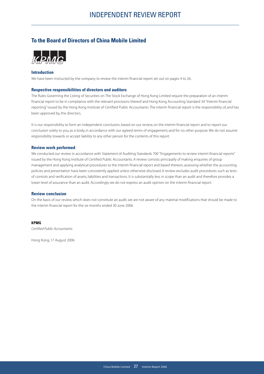## **To the Board of Directors of China Mobile Limited**



#### **Introduction**

We have been instructed by the company to review the interim financial report set out on pages 4 to 26.

#### **Respective responsibilities of directors and auditors**

The Rules Governing the Listing of Securities on The Stock Exchange of Hong Kong Limited require the preparation of an interim financial report to be in compliance with the relevant provisions thereof and Hong Kong Accounting Standard 34 ''Interim financial reporting'' issued by the Hong Kong Institute of Certified Public Accountants. The interim financial report is the responsibility of, and has been approved by, the directors.

It is our responsibility to form an independent conclusion, based on our review, on the interim financial report and to report our conclusion solely to you, as a body, in accordance with our agreed terms of engagement, and for no other purpose. We do not assume responsibility towards or accept liability to any other person for the contents of this report.

#### **Review work performed**

We conducted our review in accordance with Statement of Auditing Standards 700 ''Engagements to review interim financial reports'' issued by the Hong Kong Institute of Certified Public Accountants. A review consists principally of making enquiries of group management and applying analytical procedures to the interim financial report and based thereon, assessing whether the accounting policies and presentation have been consistently applied unless otherwise disclosed. A review excludes audit procedures such as tests of controls and verification of assets, liabilities and transactions. It is substantially less in scope than an audit and therefore provides a lower level of assurance than an audit. Accordingly we do not express an audit opinion on the interim financial report.

#### **Review conclusion**

On the basis of our review, which does not constitute an audit, we are not aware of any material modifications that should be made to the interim financial report for the six months ended 30 June 2006.

#### **KPMG**

*Certified Public Accountants*

Hong Kong, 17 August 2006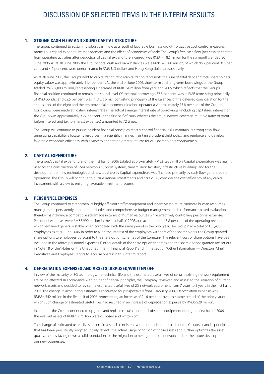#### **1. STRONG CASH FLOW AND SOUND CAPITAL STRUCTURE**

The Group continued to sustain its robust cash flow as a result of favorable business growth, proactive cost control measures, meticulous capital expenditure management and the effect of economies of scale. The Group's free cash flow (net cash generated from operating activities after deduction of capital expenditure incurred) was RMB47,182 million for the six months ended 30 June 2006. As at 30 June 2006, the Group's total cash and bank balances were RMB141,300 million, of which 95.2 per cent., 0.6 per cent. and 4.2 per cent. were denominated in RMB, U.S. dollars and Hong Kong dollars, respectively.

As at 30 June 2006, the Group's debt to capitalization ratio (capitalization represents the sum of total debt and total shareholders' equity value) was approximately 11.4 per cent.. At the end of June 2006, short-term and long-term borrowings of the Group totaled RMB37,808 million, representing a decrease of RMB164 million from year-end 2005, which reflects that the Group's financial position continued to remain at a sound level. Of the total borrowings, 37.5 per cent. was in RMB (consisting principally of RMB bonds), and 62.5 per cent. was in U.S. dollars (consisting principally of the balances of the deferred consideration for the acquisitions of the eight and the ten provincial telecommunications operators). Approximately 75.8 per cent. of the Group's borrowings were made at floating interest rates. The actual average interest rate of borrowings (including capitalized interest) of the Group was approximately 3.22 per cent. in the first half of 2006, whereas the actual interest coverage multiple (ratio of profit before interest and tax to interest expenses) amounted to 72 times.

The Group will continue to pursue prudent financial principles, strictly control financial risks, maintain its strong cash-flow generating capability, allocate its resources in a scientific manner, maintain a prudent debt policy and reinforce and develop favorable economic efficiency, with a view to generating greater returns for our shareholders continuously.

#### **2. CAPITAL EXPENDITURE**

The Group's capital expenditure for the first half of 2006 totaled approximately RMB31,925 million. Capital expenditure was mainly used for the construction of GSM networks, support systems, transmission facilities, infrastructure buildings and for the development of new technologies and new businesses. Capital expenditure was financed primarily by cash flow generated from operations. The Group will continue to pursue rational investments and cautiously consider the cost efficiency of any capital investment, with a view to ensuring favorable investment returns.

#### **3. PERSONNEL EXPENSES**

The Group continued to strengthen its highly-efficient staff management and incentive structure, promote human resources management, persistently implement effective and comprehensive budget management and performance-based evaluation, thereby maintaining a competitive advantage in terms of human resources while effectively controlling personnel expenses. Personnel expenses were RMB7,990 million in the first half of 2006, and accounted for 5.8 per cent. of the operating revenue which remained generally stable when compared with the same period in the prior year. The Group had a total of 105,456 employees as at 30 June 2006. In order to align the interest of the employees with that of the shareholders, the Group granted share options to employees pursuant to the share option schemes of the Company. The relevant cost of share options have been included in the above personnel expenses. Further details of the share option schemes and the share options granted are set out in Note 18 of the "Notes on the Unaudited Interim Financial Report" and in the section "Other Information — Directors', Chief Executive's and Employees' Rights to Acquire Shares" in this interim report.

#### **4. DEPRECIATION EXPENSES AND ASSETS DISPOSED/WRITTEN OFF**

In view of the maturity of 3G technology, the technical life and the estimated useful lives of certain existing network equipment are being affected. In accordance with prudent financial principles, the Company reviewed and assessed the situation of current network assets and decided to revise the estimated useful lives of 2G network equipment from 7 years to 5 years in the first half of 2006. The change in accounting estimate is accounted for prospectively from 1 January 2006. Depreciation expense was RMB34,542 million in the first half of 2006, representing an increase of 24.6 per cent. over the same period of the prior year, of which such change of estimated useful lives had resulted in an increase of depreciation expense by RMB6,529 million.

In addition, the Group continued to upgrade and replace certain functional obsolete equipment during the first half of 2006 and the relevant assets of RMB712 million were disposed and written off.

The change of estimated useful lives of certain assets is consistent with the prudent approach of the Group's financial principles that has been persistently adopted. It truly reflects the actual usage condition of those assets and further optimizes the asset quality, thereby laying down a solid foundation for the migration to next generation network and for the future development of our new businesses.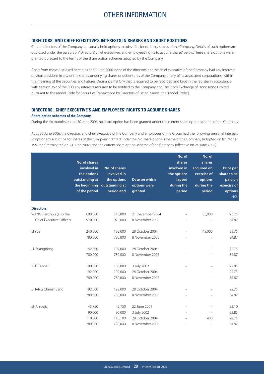#### **DIRECTORS' AND CHIEF EXECUTIVE'S INTERESTS IN SHARES AND SHORT POSITIONS**

Certain directors of the Company personally hold options to subscribe for ordinary shares of the Company. Details of such options are disclosed under the paragraph "Directors', chief executive's and employees' rights to acquire shares" below. These share options were granted pursuant to the terms of the share option schemes adopted by the Company.

Apart from those disclosed herein, as at 30 June 2006, none of the directors nor the chief executive of the Company had any interests or short positions in any of the shares, underlying shares or debentures of the Company or any of its associated corporations (within the meaning of the Securities and Futures Ordinance ("SFO")) that is required to be recorded and kept in the register in accordance with section 352 of the SFO, any interests required to be notified to the Company and The Stock Exchange of Hong Kong Limited pursuant to the Model Code for Securities Transactions by Directors of Listed Issuers (the "Model Code").

#### **DIRECTORS', CHIEF EXECUTIVE'S AND EMPLOYEES' RIGHTS TO ACQUIRE SHARES**

#### **Share option schemes of the Company**

During the six months ended 30 June 2006, no share option has been granted under the current share option scheme of the Company.

As at 30 June 2006, the directors and chief executive of the Company and employees of the Group had the following personal interests in options to subscribe for shares of the Company granted under the old share option scheme of the Company (adopted on 8 October 1997 and terminated on 24 June 2002) and the current share option scheme of the Company (effective on 24 June 2002).

|                          | No. of shares<br>involved in<br>the options<br>outstanding at<br>the beginning<br>of the period | <b>No. of shares</b><br>involved in<br>the options<br>outstanding at<br>period end | Date on which<br>options were<br>granted | No. of<br>shares<br>involved in<br>the options<br>lapsed<br>during the<br>period | No. of<br>shares<br>acquired on<br>exercise of<br>options<br>during the<br>period | Price per<br>share to be<br>paid on<br>exercise of<br>options<br>HK\$ |
|--------------------------|-------------------------------------------------------------------------------------------------|------------------------------------------------------------------------------------|------------------------------------------|----------------------------------------------------------------------------------|-----------------------------------------------------------------------------------|-----------------------------------------------------------------------|
| <b>Directors</b>         |                                                                                                 |                                                                                    |                                          |                                                                                  |                                                                                   |                                                                       |
| WANG Jianzhou (also the  | 600,000                                                                                         | 515,000                                                                            | 21 December 2004                         |                                                                                  | 85,000                                                                            | 26.75                                                                 |
| Chief Executive Officer) | 970,000                                                                                         | 970,000                                                                            | 8 November 2005                          |                                                                                  |                                                                                   | 34.87                                                                 |
| LI Yue                   | 240,000                                                                                         | 192,000                                                                            | 28 October 2004                          |                                                                                  | 48,000                                                                            | 22.75                                                                 |
|                          | 780,000                                                                                         | 780,000                                                                            | 8 November 2005                          |                                                                                  |                                                                                   | 34.87                                                                 |
| LU Xiangdong             | 192,000                                                                                         | 192,000                                                                            | 28 October 2004                          |                                                                                  |                                                                                   | 22.75                                                                 |
|                          | 780,000                                                                                         | 780,000                                                                            | 8 November 2005                          |                                                                                  |                                                                                   | 34.87                                                                 |
| XUE Taohai               | 100,000                                                                                         | 100,000                                                                            | 3 July 2002                              |                                                                                  |                                                                                   | 22.85                                                                 |
|                          | 192,000                                                                                         | 192,000                                                                            | 28 October 2004                          |                                                                                  |                                                                                   | 22.75                                                                 |
|                          | 780,000                                                                                         | 780,000                                                                            | 8 November 2005                          |                                                                                  |                                                                                   | 34.87                                                                 |
| ZHANG Chenshuang         | 192,000                                                                                         | 192,000                                                                            | 28 October 2004                          |                                                                                  |                                                                                   | 22.75                                                                 |
|                          | 780,000                                                                                         | 780,000                                                                            | 8 November 2005                          |                                                                                  |                                                                                   | 34.87                                                                 |
| SHA Yuejia               | 45,750                                                                                          | 45,750                                                                             | 22 June 2001                             |                                                                                  |                                                                                   | 32.10                                                                 |
|                          | 90,000                                                                                          | 90,000                                                                             | 3 July 2002                              |                                                                                  |                                                                                   | 22.85                                                                 |
|                          | 110,500                                                                                         | 110,100                                                                            | 28 October 2004                          |                                                                                  | 400                                                                               | 22.75                                                                 |
|                          | 780,000                                                                                         | 780,000                                                                            | 8 November 2005                          |                                                                                  |                                                                                   | 34.87                                                                 |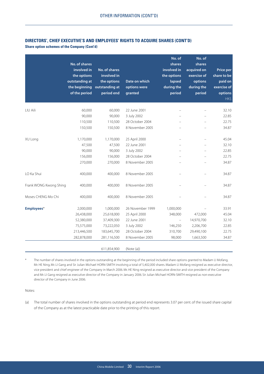#### **DIRECTORS', CHIEF EXECUTIVE'S AND EMPLOYEES' RIGHTS TO ACQUIRE SHARES (CONT'D)**

**Share option schemes of the Company (Cont'd)**

|                        | No. of shares<br>involved in<br>the options<br>outstanding at<br>the beginning<br>of the period | <b>No. of shares</b><br>involved in<br>the options<br>outstanding at<br>period end | Date on which<br>options were<br>granted | No. of<br>shares<br>involved in<br>the options<br>lapsed<br>during the<br>period | No. of<br>shares<br>acquired on<br>exercise of<br>options<br>during the<br>period | <b>Price per</b><br>share to be<br>paid on<br>exercise of<br>options<br>HK\$ |
|------------------------|-------------------------------------------------------------------------------------------------|------------------------------------------------------------------------------------|------------------------------------------|----------------------------------------------------------------------------------|-----------------------------------------------------------------------------------|------------------------------------------------------------------------------|
|                        |                                                                                                 |                                                                                    |                                          |                                                                                  |                                                                                   |                                                                              |
| LIU Aili               | 60,000                                                                                          | 60,000                                                                             | 22 June 2001                             |                                                                                  |                                                                                   | 32.10                                                                        |
|                        | 90,000                                                                                          | 90,000                                                                             | 3 July 2002                              |                                                                                  |                                                                                   | 22.85                                                                        |
|                        | 110,500                                                                                         | 110,500                                                                            | 28 October 2004                          |                                                                                  |                                                                                   | 22.75                                                                        |
|                        | 150,500                                                                                         | 150,500                                                                            | 8 November 2005                          |                                                                                  |                                                                                   | 34.87                                                                        |
| XU Long                | 1,170,000                                                                                       | 1,170,000                                                                          | 25 April 2000                            | $\overline{\phantom{0}}$                                                         | $\overline{\phantom{0}}$                                                          | 45.04                                                                        |
|                        | 47,500                                                                                          | 47,500                                                                             | 22 June 2001                             |                                                                                  |                                                                                   | 32.10                                                                        |
|                        | 90,000                                                                                          | 90,000                                                                             | 3 July 2002                              |                                                                                  |                                                                                   | 22.85                                                                        |
|                        | 156,000                                                                                         | 156,000                                                                            | 28 October 2004                          |                                                                                  |                                                                                   | 22.75                                                                        |
|                        | 270,000                                                                                         | 270,000                                                                            | 8 November 2005                          |                                                                                  |                                                                                   | 34.87                                                                        |
| LO Ka Shui             | 400,000                                                                                         | 400,000                                                                            | 8 November 2005                          |                                                                                  |                                                                                   | 34.87                                                                        |
| Frank WONG Kwong Shing | 400,000                                                                                         | 400,000                                                                            | 8 November 2005                          |                                                                                  |                                                                                   | 34.87                                                                        |
| Moses CHENG Mo Chi     | 400,000                                                                                         | 400,000                                                                            | 8 November 2005                          |                                                                                  |                                                                                   | 34.87                                                                        |
| Employees*             | 2,000,000                                                                                       | 1,000,000                                                                          | 26 November 1999                         | 1,000,000                                                                        |                                                                                   | 33.91                                                                        |
|                        | 26,438,000                                                                                      | 25,618,000                                                                         | 25 April 2000                            | 348,000                                                                          | 472,000                                                                           | 45.04                                                                        |
|                        | 52,380,000                                                                                      | 37,409,300                                                                         | 22 June 2001                             | $\overline{\phantom{a}}$                                                         | 14,970,700                                                                        | 32.10                                                                        |
|                        | 75,575,000                                                                                      | 73,222,050                                                                         | 3 July 2002                              | 146,250                                                                          | 2,206,700                                                                         | 22.85                                                                        |
|                        | 213,446,500                                                                                     | 183,645,700                                                                        | 28 October 2004                          | 310,700                                                                          | 29,490,100                                                                        | 22.75                                                                        |
|                        | 282,878,000                                                                                     | 281,116,500                                                                        | 8 November 2005                          | 98,000                                                                           | 1,663,500                                                                         | 34.87                                                                        |
|                        |                                                                                                 | 611,854,900                                                                        | (Note (a))                               |                                                                                  |                                                                                   |                                                                              |

The number of shares involved in the options outstanding at the beginning of the period included share options granted to Madam LI Mofang, Mr. HE Ning, Mr. LI Gang and Sir Julian Michael HORN-SMITH involving a total of 5,402,000 shares. Madam LI Mofang resigned as executive director, vice president and chief engineer of the Company in March 2006. Mr. HE Ning resigned as executive director and vice president of the Company and Mr. LI Gang resigned as executive director of the Company in January 2006. Sir Julian Michael HORN-SMITH resigned as non-executive director of the Company in June 2006.

#### Notes:

(a) The total number of shares involved in the options outstanding at period end represents 3.07 per cent. of the issued share capital of the Company as at the latest practicable date prior to the printing of this report.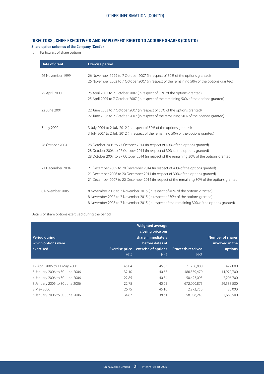## **DIRECTORS', CHIEF EXECUTIVE'S AND EMPLOYEES' RIGHTS TO ACQUIRE SHARES (CONT'D)**

## **Share option schemes of the Company (Cont'd)**

(b) Particulars of share options:

| Date of grant    | <b>Exercise period</b>                                                                                                                                                                                                                                              |
|------------------|---------------------------------------------------------------------------------------------------------------------------------------------------------------------------------------------------------------------------------------------------------------------|
| 26 November 1999 | 26 November 1999 to 7 October 2007 (in respect of 50% of the options granted)<br>26 November 2002 to 7 October 2007 (in respect of the remaining 50% of the options granted)                                                                                        |
| 25 April 2000    | 25 April 2002 to 7 October 2007 (in respect of 50% of the options granted)<br>25 April 2005 to 7 October 2007 (in respect of the remaining 50% of the options granted)                                                                                              |
| 22 June 2001     | 22 June 2003 to 7 October 2007 (in respect of 50% of the options granted)<br>22 June 2006 to 7 October 2007 (in respect of the remaining 50% of the options granted)                                                                                                |
| 3 July 2002      | 3 July 2004 to 2 July 2012 (in respect of 50% of the options granted)<br>3 July 2007 to 2 July 2012 (in respect of the remaining 50% of the options granted)                                                                                                        |
| 28 October 2004  | 28 October 2005 to 27 October 2014 (in respect of 40% of the options granted)<br>28 October 2006 to 27 October 2014 (in respect of 30% of the options granted)<br>28 October 2007 to 27 October 2014 (in respect of the remaining 30% of the options granted)       |
| 21 December 2004 | 21 December 2005 to 20 December 2014 (in respect of 40% of the options granted)<br>21 December 2006 to 20 December 2014 (in respect of 30% of the options granted)<br>21 December 2007 to 20 December 2014 (in respect of the remaining 30% of the options granted) |
| 8 November 2005  | 8 November 2006 to 7 November 2015 (in respect of 40% of the options granted)<br>8 November 2007 to 7 November 2015 (in respect of 30% of the options granted)<br>8 November 2008 to 7 November 2015 (in respect of the remaining 30% of the options granted)       |

Details of share options exercised during the period:

| <b>Period during</b><br>which options were<br>exercised | <b>Exercise price</b> | <b>Weighted average</b><br>closing price per<br>share immediately<br>before dates of<br>exercise of options | <b>Proceeds received</b> | <b>Number of shares</b><br>involved in the<br>options |
|---------------------------------------------------------|-----------------------|-------------------------------------------------------------------------------------------------------------|--------------------------|-------------------------------------------------------|
|                                                         | HK\$                  | HK\$                                                                                                        | HK\$                     |                                                       |
|                                                         |                       |                                                                                                             |                          |                                                       |
| 19 April 2006 to 11 May 2006                            | 45.04                 | 46.03                                                                                                       | 21,258,880               | 472,000                                               |
| 3 January 2006 to 30 June 2006                          | 32.10                 | 40.67                                                                                                       | 480,559,470              | 14,970,700                                            |
| 4 January 2006 to 30 June 2006                          | 22.85                 | 40.54                                                                                                       | 50,423,095               | 2,206,700                                             |
| 3 January 2006 to 30 June 2006                          | 22.75                 | 40.25                                                                                                       | 672,000,875              | 29,538,500                                            |
| 2 May 2006                                              | 26.75                 | 45.10                                                                                                       | 2,273,750                | 85,000                                                |
| 6 January 2006 to 30 June 2006                          | 34.87                 | 38.61                                                                                                       | 58,006,245               | 1,663,500                                             |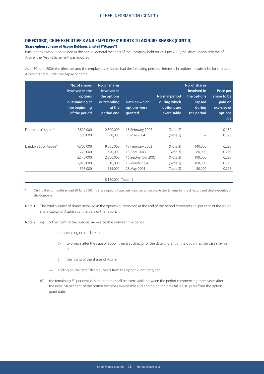#### **DIRECTORS', CHIEF EXECUTIVE'S AND EMPLOYEES' RIGHTS TO ACQUIRE SHARES (CONT'D) Share option scheme of Aspire Holdings Limited (''Aspire'')**

Pursuant to a resolution passed at the annual general meeting of the Company held on 24 June 2002, the share option scheme of Aspire (the ''Aspire Scheme'') was adopted.

As at 30 June 2006, the directors and the employees of Aspire had the following personal interests in options to subscribe for shares of Aspire granted under the Aspire Scheme.

|                      | No. of shares<br>involved in the<br>options<br>outstanding at<br>the beginning<br>of the period | No. of shares<br>involved in<br>the options<br>outstanding<br>at the<br>period end | Date on which<br>options were<br>granted | <b>Normal period</b><br>during which<br>options are<br>exercisable | No. of shares<br>involved in<br>the options<br>lapsed<br>during<br>the period | Price per<br>share to be<br>paid on<br>exercise of<br>options<br>US\$ |
|----------------------|-------------------------------------------------------------------------------------------------|------------------------------------------------------------------------------------|------------------------------------------|--------------------------------------------------------------------|-------------------------------------------------------------------------------|-----------------------------------------------------------------------|
| Directors of Aspire* | 2,800,000                                                                                       | 2,800,000                                                                          | 18 February 2003                         | (Note 2)                                                           |                                                                               | 0.182                                                                 |
|                      | 500,000                                                                                         | 500,000                                                                            | 28 May 2004                              | (Note 2)                                                           |                                                                               | 0.298                                                                 |
| Employees of Aspire* | 9,705,000                                                                                       | 9,565,000                                                                          | 18 February 2003                         | (Note 3)                                                           | 140,000                                                                       | 0.298                                                                 |
|                      | 720,000                                                                                         | 640,000                                                                            | 18 April 2003                            | (Note 3)                                                           | 80,000                                                                        | 0.298                                                                 |
|                      | 2,540,000                                                                                       | 2,350,000                                                                          | 16 September 2003                        | (Note 3)                                                           | 190,000                                                                       | 0.298                                                                 |
|                      | 1,970,000                                                                                       | 1,810,000                                                                          | 18 March 2004                            | (Note 3)                                                           | 160,000                                                                       | 0.298                                                                 |
|                      | 595,000                                                                                         | 515,000                                                                            | 28 May 2004                              | (Note 3)                                                           | 80,000                                                                        | 0.298                                                                 |

18,180,000 (Note 1)

During the six months ended 30 June 2006, no share options have been granted under the Aspire Scheme for the directors and chief executive of the Company.

- Note 1: The total number of shares involved in the options outstanding at the end of the period represents 1.9 per cent. of the issued share capital of Aspire as at the date of this report.
- Note 2: (a) 50 per cent. of the options are exercisable between the period:
	- commencing on the later of:
		- (i) two years after the date of appointment as director or the date of grant of the option (as the case may be); or
		- (ii) the listing of the shares of Aspire;
	- ending on the date falling 10 years from the option grant date; and
	- (b) the remaining 50 per cent. of such options shall be exercisable between the period commencing three years after the initial 50 per cent. of the option becomes exercisable and ending on the date falling 10 years from the option grant date.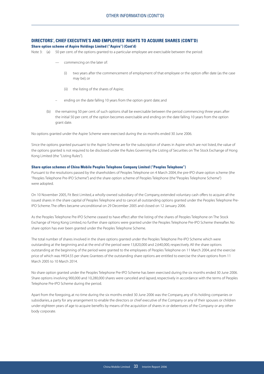#### **DIRECTORS', CHIEF EXECUTIVE'S AND EMPLOYEES' RIGHTS TO ACQUIRE SHARES (CONT'D)**

#### **Share option scheme of Aspire Holdings Limited (''Aspire'') (Cont'd)**

Note 3: (a) 50 per cent. of the options granted to a particular employee are exercisable between the period:

- commencing on the later of:
	- (i) two years after the commencement of employment of that employee or the option offer date (as the case may be); or
	- (ii) the listing of the shares of Aspire;
- ending on the date falling 10 years from the option grant date; and
- (b) the remaining 50 per cent. of such options shall be exercisable between the period commencing three years after the initial 50 per cent. of the option becomes exercisable and ending on the date falling 10 years from the option grant date.

No options granted under the Aspire Scheme were exercised during the six months ended 30 June 2006.

Since the options granted pursuant to the Aspire Scheme are for the subscription of shares in Aspire which are not listed, the value of the options granted is not required to be disclosed under the Rules Governing the Listing of Securities on The Stock Exchange of Hong Kong Limited (the ''Listing Rules'').

#### **Share option schemes of China Mobile Peoples Telephone Company Limited ("Peoples Telephone")**

Pursuant to the resolutions passed by the shareholders of Peoples Telephone on 4 March 2004, the pre-IPO share option scheme (the "Peoples Telephone Pre-IPO Scheme") and the share option scheme of Peoples Telephone (the "Peoples Telephone Scheme") were adopted.

On 10 November 2005, Fit Best Limited, a wholly-owned subsidiary of the Company, extended voluntary cash offers to acquire all the issued shares in the share capital of Peoples Telephone and to cancel all outstanding options granted under the Peoples Telephone Pre-IPO Scheme. The offers became unconditional on 29 December 2005 and closed on 12 January 2006.

As the Peoples Telephone Pre-IPO Scheme ceased to have effect after the listing of the shares of Peoples Telephone on The Stock Exchange of Hong Kong Limited, no further share options were granted under the Peoples Telephone Pre-IPO Scheme thereafter. No share option has ever been granted under the Peoples Telephone Scheme.

The total number of shares involved in the share options granted under the Peoples Telephone Pre-IPO Scheme which were outstanding at the beginning and at the end of the period were 13,820,000 and 2,640,000, respectively. All the share options outstanding at the beginning of the period were granted to the employees of Peoples Telephone on 11 March 2004, and the exercise price of which was HK\$4.55 per share. Grantees of the outstanding share options are entitled to exercise the share options from 11 March 2005 to 10 March 2014.

No share option granted under the Peoples Telephone Pre-IPO Scheme has been exercised during the six months ended 30 June 2006. Share options involving 900,000 and 10,280,000 shares were canceled and lapsed, respectively in accordance with the terms of Peoples Telephone Pre-IPO Scheme during the period.

Apart from the foregoing, at no time during the six months ended 30 June 2006 was the Company, any of its holding companies or subsidiaries, a party for any arrangement to enable the directors or chief executive of the Company or any of their spouses or children under eighteen years of age to acquire benefits by means of the acquisition of shares in or debentures of the Company or any other body corporate.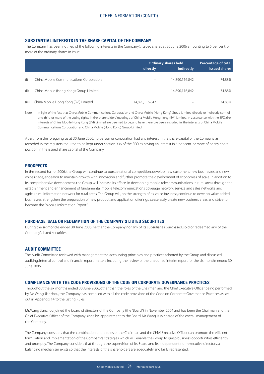#### **SUBSTANTIAL INTERESTS IN THE SHARE CAPITAL OF THE COMPANY**

The Company has been notified of the following interests in the Company's issued shares at 30 June 2006 amounting to 5 per cent. or more of the ordinary shares in issue:

|       |                                         |                | <b>Ordinary shares held</b> |               |
|-------|-----------------------------------------|----------------|-----------------------------|---------------|
|       |                                         | directly       | indirectly                  | issued shares |
| (i)   | China Mobile Communications Corporation |                | 14,890,116,842              | 74.88%        |
| (ii)  | China Mobile (Hong Kong) Group Limited  |                | 14,890,116,842              | 74.88%        |
| (iii) | China Mobile Hong Kong (BVI) Limited    | 14,890,116,842 |                             | 74.88%        |

Note: In light of the fact that China Mobile Communications Corporation and China Mobile (Hong Kong) Group Limited directly or indirectly control one-third or more of the voting rights in the shareholders' meetings of China Mobile Hong Kong (BVI) Limited, in accordance with the SFO, the interests of China Mobile Hong Kong (BVI) Limited are deemed to be, and have therefore been included in, the interests of China Mobile Communications Corporation and China Mobile (Hong Kong) Group Limited.

Apart from the foregoing, as at 30 June 2006, no person or corporation had any interest in the share capital of the Company as recorded in the registers required to be kept under section 336 of the SFO as having an interest in 5 per cent. or more of or any short position in the issued share capital of the Company.

#### **PROSPECTS**

In the second half of 2006, the Group will continue to pursue rational competition, develop new customers, new businesses and new voice usage, endeavor to maintain growth with innovation and further promote the development of economies of scale. In addition to its comprehensive development, the Group will increase its efforts in developing mobile telecommunications in rural areas through the establishment and enhancement of fundamental mobile telecommunications coverage network, service and sales networks and agricultural information network for rural areas. The Group will, on the strength of its voice business, continue to develop value-added businesses, strengthen the preparation of new product and application offerings, ceaselessly create new business areas and strive to become the "Mobile Information Expert".

#### **PURCHASE, SALE OR REDEMPTION OF THE COMPANY'S LISTED SECURITIES**

During the six months ended 30 June 2006, neither the Company nor any of its subsidiaries purchased, sold or redeemed any of the Company's listed securities.

#### **AUDIT COMMITTEE**

The Audit Committee reviewed with management the accounting principles and practices adopted by the Group and discussed auditing, internal control and financial report matters including the review of the unaudited interim report for the six months ended 30 June 2006.

#### **COMPLIANCE WITH THE CODE PROVISIONS OF THE CODE ON CORPORATE GOVERNANCE PRACTICES**

Throughout the six months ended 30 June 2006, other than the roles of the Chairman and the Chief Executive Officer being performed by Mr. Wang Jianzhou, the Company has complied with all the code provisions of the Code on Corporate Governance Practices as set out in Appendix 14 to the Listing Rules.

Mr. Wang Jianzhou joined the board of directors of the Company (the "Board") in November 2004 and has been the Chairman and the Chief Executive Officer of the Company since his appointment to the Board. Mr. Wang is in charge of the overall management of the Company.

The Company considers that the combination of the roles of the Chairman and the Chief Executive Officer can promote the efficient formulation and implementation of the Company's strategies which will enable the Group to grasp business opportunities efficiently and promptly. The Company considers that through the supervision of its Board and its independent non-executive directors, a balancing mechanism exists so that the interests of the shareholders are adequately and fairly represented.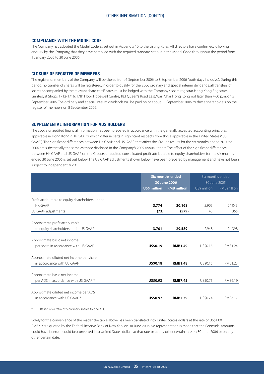#### **COMPLIANCE WITH THE MODEL CODE**

The Company has adopted the Model Code as set out in Appendix 10 to the Listing Rules. All directors have confirmed, following enquiry by the Company, that they have complied with the required standard set out in the Model Code throughout the period from 1 January 2006 to 30 June 2006.

#### **CLOSURE OF REGISTER OF MEMBERS**

The register of members of the Company will be closed from 6 September 2006 to 8 September 2006 (both days inclusive). During this period, no transfer of shares will be registered. In order to qualify for the 2006 ordinary and special interim dividends, all transfers of shares accompanied by the relevant share certificates must be lodged with the Company's share registrar, Hong Kong Registrars Limited, at Shops 1712-1716, 17th Floor, Hopewell Centre, 183 Queen's Road East, Wan Chai, Hong Kong not later than 4:00 p.m. on 5 September 2006. The ordinary and special interim dividends will be paid on or about 15 September 2006 to those shareholders on the register of members on 8 September 2006.

#### **SUPPLEMENTAL INFORMATION FOR ADS HOLDERS**

The above unaudited financial information has been prepared in accordance with the generally accepted accounting principles applicable in Hong Kong ("HK GAAP"), which differ in certain significant respects from those applicable in the United States ("US GAAP"). The significant differences between HK GAAP and US GAAP that affect the Group's results for the six months ended 30 June 2006 are substantially the same as those disclosed in the Company's 2005 annual report. The effect of the significant differences between HK GAAP and US GAAP on the Group's unaudited consolidated profit attributable to equity shareholders for the six months ended 30 June 2006 is set out below. The US GAAP adjustments shown below have been prepared by management and have not been subject to independent audit.

|                                                  | <b>Six months ended</b><br>30 June 2006 |                    |              | Six months ended<br>30 June 2005 |
|--------------------------------------------------|-----------------------------------------|--------------------|--------------|----------------------------------|
|                                                  | US\$ million                            | <b>RMB</b> million | US\$ million | RMB million                      |
| Profit attributable to equity shareholders under |                                         |                    |              |                                  |
| <b>HK GAAP</b>                                   | 3,774                                   | 30,168             | 2,905        | 24,043                           |
| US GAAP adjustments                              | (73)                                    | (579)              | 43           | 355                              |
| Approximate profit attributable                  |                                         |                    |              |                                  |
| to equity shareholders under US GAAP             | 3,701                                   | 29,589             | 2,948        | 24,398                           |
| Approximate basic net income                     |                                         |                    |              |                                  |
| per share in accordance with US GAAP             | US\$0.19                                | <b>RMB1.49</b>     | US\$0.15     | RMB1.24                          |
| Approximate diluted net income per share         |                                         |                    |              |                                  |
| in accordance with US GAAP                       | US\$0.18                                | <b>RMB1.48</b>     | US\$0.15     | RMB1.23                          |
| Approximate basic net income                     |                                         |                    |              |                                  |
| per ADS in accordance with US GAAP *             | <b>US\$0.93</b>                         | <b>RMB7.45</b>     | US\$0.75     | RMB6.19                          |
| Approximate diluted net income per ADS           |                                         |                    |              |                                  |
| in accordance with US GAAP *                     | <b>US\$0.92</b>                         | <b>RMB7.39</b>     | US\$0.74     | RMB6.17                          |

Based on a ratio of 5 ordinary shares to one ADS.

Solely for the convenience of the reader, the table above has been translated into United States dollars at the rate of US\$1.00 = RMB7.9943 quoted by the Federal Reserve Bank of New York on 30 June 2006. No representation is made that the Renminbi amounts could have been, or could be, converted into United States dollars at that rate or at any other certain rate on 30 June 2006 or on any other certain date.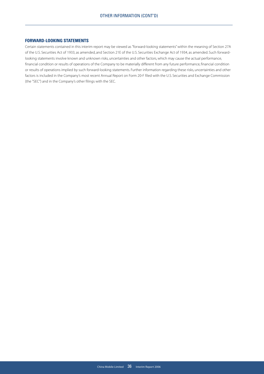#### **FORWARD-LOOKING STATEMENTS**

Certain statements contained in this interim report may be viewed as ''forward-looking statements'' within the meaning of Section 27A of the U.S. Securities Act of 1933, as amended, and Section 21E of the U.S. Securities Exchange Act of 1934, as amended. Such forwardlooking statements involve known and unknown risks, uncertainties and other factors, which may cause the actual performance, financial condition or results of operations of the Company to be materially different from any future performance, financial condition or results of operations implied by such forward-looking statements. Further information regarding these risks, uncertainties and other factors is included in the Company's most recent Annual Report on Form 20-F filed with the U.S. Securities and Exchange Commission (the ''SEC'') and in the Company's other filings with the SEC.